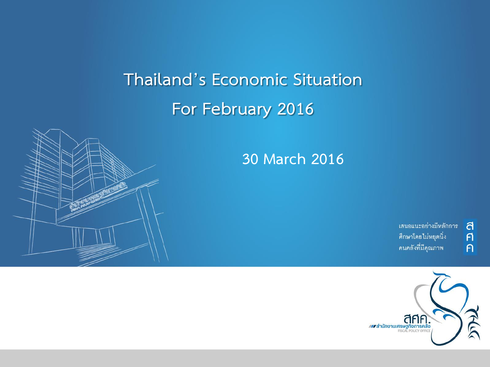**Thailand's Economic Situation For February 2016** 





้เสนอแนะอย่างมีหลักการ ศึกษาโดยไม่หยุดนิ่ง คนคลังที่มีคุณภาพ

ิ<br>ศิ

 $\overline{P}$ 

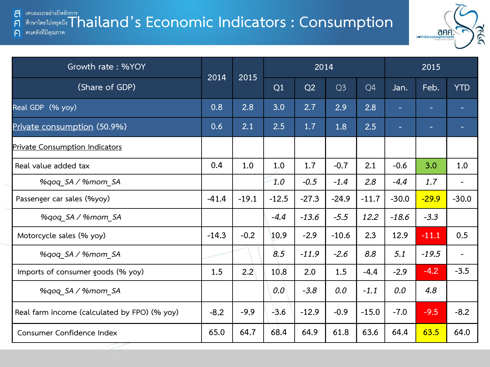#### **E IN URICAL THAILAND AND EXAMPLE CONOMIC Indicators : Consumption** a  $\mathsf{F}$

ิคนคลังที่มีคุณภาพ  $\bigcap$ 



| Growth rate: %YOY                            | 2014    | 2015    |         | 2014    |                |         | 2015    |         |                          |
|----------------------------------------------|---------|---------|---------|---------|----------------|---------|---------|---------|--------------------------|
| (Share of GDP)                               |         |         | Q1      | Q2      | Q <sub>3</sub> | Q4      | Jan.    | Feb.    | <b>YTD</b>               |
| Real GDP (% yoy)                             | 0.8     | 2.8     | 3.0     | 2.7     | 2.9            | 2.8     |         | ÷       |                          |
| Private consumption (50.9%)                  | 0.6     | 2.1     | 2.5     | 1.7     | 1.8            | 2.5     |         | ÷       |                          |
| Private Consumption Indicators               |         |         |         |         |                |         |         |         |                          |
| Real value added tax                         | 0.4     | 1.0     | 1.0     | 1.7     | $-0.7$         | 2.1     | $-0.6$  | 3.0     | 1.0                      |
| %qoq_SA / %mom_SA                            |         |         | 1.0     | $-0.5$  | $-1.4$         | 2.8     | $-4.4$  | 1.7     | $\overline{\phantom{a}}$ |
| Passenger car sales (%yoy)                   | $-41.4$ | $-19.1$ | $-12.5$ | $-27.3$ | $-24.9$        | $-11.7$ | $-30.0$ | $-29.9$ | $-30.0$                  |
| %gog SA / %mom SA                            |         |         | $-4.4$  | $-13.6$ | $-5.5$         | 12.2    | $-18.6$ | $-3.3$  |                          |
| Motorcycle sales (% yoy)                     | $-14.3$ | $-0.2$  | 10.9    | $-2.9$  | $-10.6$        | 2.3     | 12.9    | $-11.1$ | 0.5                      |
| %gog SA / %mom SA                            |         |         | 8.5     | $-11.9$ | $-2.6$         | 8.8     | 5.1     | $-19.5$ |                          |
| Imports of consumer goods (% yoy)            | 1.5     | 2.2     | 10.8    | 2.0     | 1.5            | $-4.4$  | $-2.9$  | $-4.2$  | $-3.5$                   |
| %gog SA / %mom SA                            |         |         | 0.0     | $-3.8$  | 0.0            | $-1.1$  | 0.0     | 4.8     |                          |
| Real farm income (calculated by FPO) (% yoy) | $-8.2$  | $-9.9$  | $-3.6$  | $-12.9$ | $-0.9$         | $-15.0$ | $-7.0$  | $-9.5$  | $-8.2$                   |
| Consumer Confidence Index                    | 65.0    | 64.7    | 68.4    | 64.9    | 61.8           | 63.6    | 64.4    | 63.5    | 64.0                     |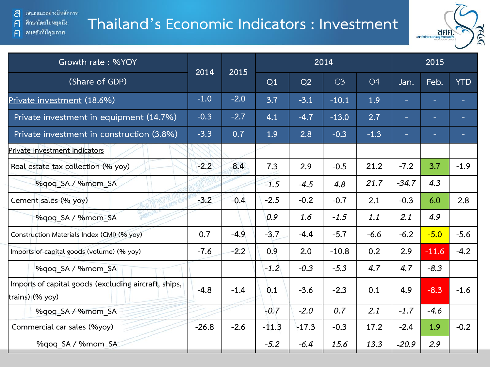้ เสนอแนะอย่างมีหลักการ a ศึกษาโดยไม่หยุดนี้ง

คนคลังที่มีคุณภาพ

 $\mathsf{F}$ 

 $\bigcap$ 

### **Thailand's Economic Indicators : Investment**



| Growth rate: %YOY                                                       |         | 2014<br>2015 |         |         | 2014           |        | 2015    |         |            |  |
|-------------------------------------------------------------------------|---------|--------------|---------|---------|----------------|--------|---------|---------|------------|--|
| (Share of GDP)                                                          |         |              | Q1      | Q2      | Q <sub>3</sub> | Q4     | Jan.    | Feb.    | <b>YTD</b> |  |
| Private investment (18.6%)                                              | $-1.0$  | $-2.0$       | 3.7     | $-3.1$  | $-10.1$        | 1.9    | н       | ÷       |            |  |
| Private investment in equipment (14.7%)                                 | $-0.3$  | $-2.7$       | 4.1     | $-4.7$  | $-13.0$        | 2.7    |         | ۳       |            |  |
| Private investment in construction (3.8%)                               | $-3.3$  | 0.7          | 1.9     | 2.8     | $-0.3$         | $-1.3$ |         |         |            |  |
| Private Investment Indicators                                           |         |              |         |         |                |        |         |         |            |  |
| Real estate tax collection (% yoy)                                      | $-2.2$  | 8.4          | 7.3     | 2.9     | $-0.5$         | 21.2   | $-7.2$  | 3.7     | $-1.9$     |  |
| %gog SA / %mom SA                                                       |         |              | $-1.5$  | $-4.5$  | 4.8            | 21.7   | $-34.7$ | 4.3     |            |  |
| Cement sales (% yoy)                                                    | $-3.2$  | $-0.4$       | $-2.5$  | $-0.2$  | $-0.7$         | 2.1    | $-0.3$  | 6.0     | 2.8        |  |
| %gog SA / %mom SA                                                       |         |              | 0.9     | 1.6     | $-1.5$         | 1.1    | 2.1     | 4.9     |            |  |
| Construction Materials Index (CMI) (% yoy)                              | 0.7     | $-4.9$       | $-3.7$  | $-4.4$  | $-5.7$         | $-6.6$ | $-6.2$  | $-5.0$  | $-5.6$     |  |
| Imports of capital goods (volume) (% yoy)                               | $-7.6$  | $-2.2$       | 0.9     | 2.0     | $-10.8$        | 0.2    | 2.9     | $-11.6$ | $-4.2$     |  |
| %gog SA / %mom SA                                                       |         |              | $-1.2$  | $-0.3$  | $-5.3$         | 4.7    | 4.7     | $-8.3$  |            |  |
| Imports of capital goods (excluding aircraft, ships,<br>trains) (% yoy) | $-4.8$  | $-1.4$       | 0.1     | $-3.6$  | $-2.3$         | 0.1    | 4.9     | $-8.3$  | $-1.6$     |  |
| %qoq SA / %mom SA                                                       |         |              | $-0.7$  | $-2.0$  | 0.7            | 2.1    | $-1.7$  | $-4.6$  |            |  |
| Commercial car sales (%yoy)                                             | $-26.8$ | $-2.6$       | $-11.3$ | $-17.3$ | $-0.3$         | 17.2   | $-2.4$  | 1.9     | $-0.2$     |  |
| %qoq SA / %mom SA                                                       |         |              | $-5.2$  | $-6.4$  | 15.6           | 13.3   | $-20.9$ | 2.9     |            |  |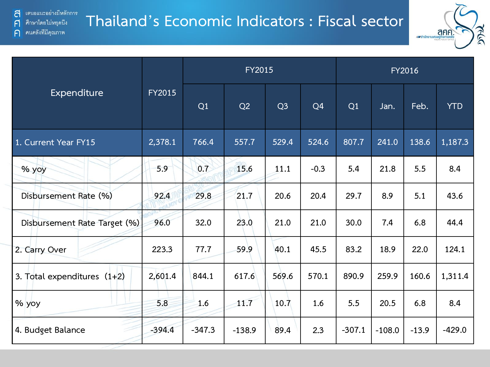

|                               |               |          | <b>FY2015</b> |                | FY2016         |          |          |         |            |  |
|-------------------------------|---------------|----------|---------------|----------------|----------------|----------|----------|---------|------------|--|
| Expenditure                   | <b>FY2015</b> | Q1       | Q2            | Q <sub>3</sub> | Q <sub>4</sub> | Q1       | Jan.     | Feb.    | <b>YTD</b> |  |
| 1. Current Year FY15          | 2,378.1       | 766.4    | 557.7         | 529.4          | 524.6          | 807.7    | 241.0    | 138.6   | 1,187.3    |  |
| % yoy                         | 5.9           | 0.7      | 15.6          | 11.1           | $-0.3$         | 5.4      | 21.8     | 5.5     | 8.4        |  |
| Disbursement Rate (%)         | 92.4          | 29.8     | 21.7          | 20.6           | 20.4           | 29.7     | 8.9      | 5.1     | 43.6       |  |
| Disbursement Rate Target (%)  | 96.0          | 32.0     | 23.0          | 21.0           | 21.0           | 30.0     | 7.4      | 6.8     | 44.4       |  |
| 2. Carry Over                 | 223.3         | 77.7     | 59.9          | 40.1           | 45.5           | 83.2     | 18.9     | 22.0    | 124.1      |  |
| 3. Total expenditures $(1+2)$ | 2,601.4       | 844.1    | 617.6         | 569.6          | 570.1          | 890.9    | 259.9    | 160.6   | 1,311.4    |  |
| % yoy                         | 5.8           | 1.6      | 11.7          | 10.7           | 1.6            | 5.5      | 20.5     | 6.8     | 8.4        |  |
| 4. Budget Balance             | $-394.4$      | $-347.3$ | $-138.9$      | 89.4           | 2.3            | $-307.1$ | $-108.0$ | $-13.9$ | $-429.0$   |  |

 $\mathsf{F}$ 

 $\bigcap$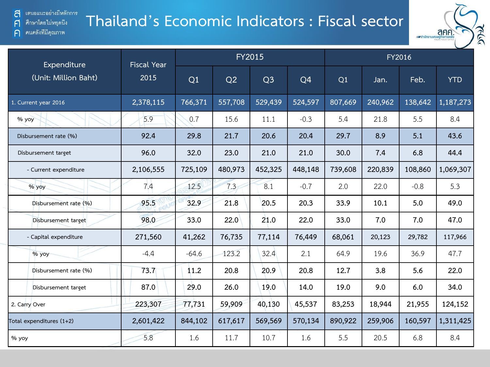### **Thailand's Economic Indicators : Fiscal sector**



| Expenditure              | <b>Fiscal Year</b> |         |         | <b>FY2015</b>  |         | FY2016  |         |         |            |  |  |
|--------------------------|--------------------|---------|---------|----------------|---------|---------|---------|---------|------------|--|--|
| (Unit: Million Baht)     | 2015               | Q1      | Q2      | Q <sub>3</sub> | Q4      | Q1      | Jan.    | Feb.    | <b>YTD</b> |  |  |
| 1. Current year 2016     | 2,378,115          | 766,371 | 557,708 | 529,439        | 524,597 | 807,669 | 240,962 | 138,642 | 1,187,273  |  |  |
| % yoy                    | 5.9                | 0.7     | 15.6    | 11.1           | $-0.3$  | 5.4     | 21.8    | 5.5     | 8.4        |  |  |
| Disbursement rate (%)    | 92.4               | 29.8    | 21.7    | 20.6           | 20.4    | 29.7    | 8.9     | 5.1     | 43.6       |  |  |
| Disbursement target      | 96.0               | 32.0    | 23.0    | 21.0           | 21.0    | 30.0    | 7.4     | 6.8     | 44.4       |  |  |
| - Current expenditure    | 2,106,555          | 725,109 | 480,973 | 452,325        | 448,148 | 739,608 | 220,839 | 108,860 | 1,069,307  |  |  |
| % yoy                    | 7.4                | 12.5    | 7.3     | 8.1            | $-0.7$  | 2.0     | 22.0    | $-0.8$  | 5.3        |  |  |
| Disbursement rate (%)    | 95.5               | 32.9    | 21.8    | 20.5           | 20.3    | 33.9    | 10.1    | 5.0     | 49.0       |  |  |
| Disbursement target      | 98.0               | 33.0    | 22.0    | 21.0           | 22.0    | 33.0    | 7.0     | 7.0     | 47.0       |  |  |
| - Capital expenditure    | 271,560            | 41,262  | 76,735  | 77,114         | 76,449  | 68,061  | 20,123  | 29,782  | 117,966    |  |  |
| $%$ yoy                  | $-4.4$             | $-64.6$ | 123.2   | 32.4           | 2.1     | 64.9    | 19.6    | 36.9    | 47.7       |  |  |
| Disbursement rate (%)    | 73.7               | 11.2    | 20.8    | 20.9           | 20.8    | 12.7    | 3.8     | 5.6     | 22.0       |  |  |
| Disbursement target      | 87.0               | 29.0    | 26.0    | 19.0           | 14.0    | 19.0    | 9.0     | 6.0     | 34.0       |  |  |
| 2. Carry Over            | 223,307            | 77,731  | 59,909  | 40,130         | 45,537  | 83,253  | 18,944  | 21,955  | 124,152    |  |  |
| Total expenditures (1+2) | 2,601,422          | 844,102 | 617,617 | 569,569        | 570,134 | 890,922 | 259,906 | 160,597 | 1,311,425  |  |  |
| % yoy                    | 5.8                | 1.6     | 11.7    | 10.7           | 1.6     | 5.5     | 20.5    | 6.8     | 8.4        |  |  |

 $\mathsf{F}$ 

 $\bigcap$ 

ศึกษาโดยไม่หยุดนี้ง

คนคลังที่มีคุณภาพ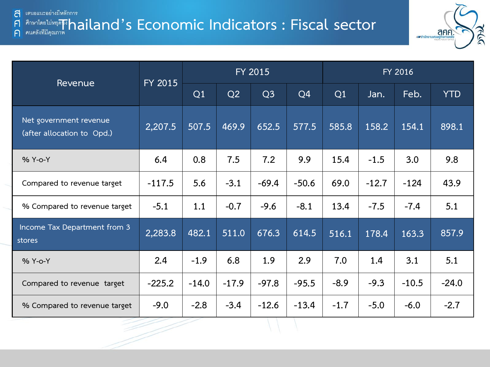#### **E GRIPRE IN THE SECONOMIC INDICATORS : Fiscal sector**  $\bigcap$



| Revenue                                              | FY 2015  |         |         | FY 2015        |                | FY 2016 |         |         |            |  |
|------------------------------------------------------|----------|---------|---------|----------------|----------------|---------|---------|---------|------------|--|
|                                                      |          | Q1      | Q2      | Q <sub>3</sub> | Q <sub>4</sub> | Q1      | Jan.    | Feb.    | <b>YTD</b> |  |
| Net government revenue<br>(after allocation to Opd.) | 2,207.5  | 507.5   | 469.9   | 652.5          | 577.5          | 585.8   | 158.2   | 154.1   | 898.1      |  |
| % Y-o-Y                                              | 6.4      | 0.8     | 7.5     | 7.2            | 9.9            | 15.4    | $-1.5$  | 3.0     | 9.8        |  |
| Compared to revenue target                           | $-117.5$ | 5.6     | $-3.1$  | $-69.4$        | $-50.6$        | 69.0    | $-12.7$ | $-124$  | 43.9       |  |
| % Compared to revenue target                         | $-5.1$   | 1.1     | $-0.7$  | $-9.6$         | $-8.1$         | 13.4    | $-7.5$  | $-7.4$  | 5.1        |  |
| Income Tax Department from 3<br>stores               | 2,283.8  | 482.1   | 511.0   | 676.3          | 614.5          | 516.1   | 178.4   | 163.3   | 857.9      |  |
| % Y-o-Y                                              | 2.4      | $-1.9$  | 6.8     | 1.9            | 2.9            | 7.0     | 1.4     | 3.1     | 5.1        |  |
| Compared to revenue target                           | $-225.2$ | $-14.0$ | $-17.9$ | $-97.8$        | $-95.5$        | $-8.9$  | $-9.3$  | $-10.5$ | $-24.0$    |  |
| % Compared to revenue target                         | $-9.0$   | $-2.8$  | $-3.4$  | $-12.6$        | $-13.4$        | $-1.7$  | $-5.0$  | $-6.0$  | $-2.7$     |  |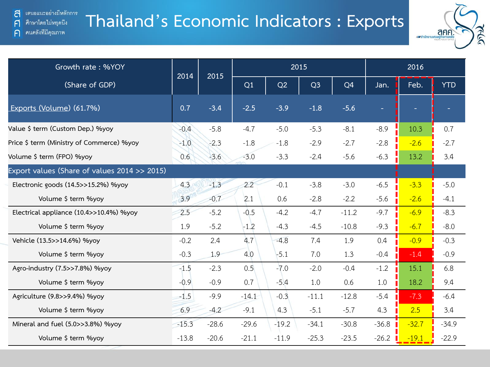คนคลังที่มีคุณภาพ

 $\mathsf{F}$ 

 $\bigcap$ 

# **Thailand's Economic Indicators : Exports**



| Growth rate: %YOY                            | 2014    | 2015    |         |         | 2015           | 2016           |         |         |            |
|----------------------------------------------|---------|---------|---------|---------|----------------|----------------|---------|---------|------------|
| (Share of GDP)                               |         |         | Q1      | Q2      | Q <sub>3</sub> | Q <sub>4</sub> | Jan.    | Feb.    | <b>YTD</b> |
| Exports (Volume) (61.7%)                     | 0.7     | $-3.4$  | $-2.5$  | $-3.9$  | $-1.8$         | $-5.6$         | ÷,      |         |            |
| Value \$ term (Custom Dep.) %yoy             | $-0.4$  | $-5.8$  | $-4.7$  | $-5.0$  | $-5.3$         | $-8.1$         | $-8.9$  | 10.3    | 0.7        |
| Price \$ term (Ministry of Commerce) %yoy    | $-1.0$  | $-2.3$  | $-1.8$  | $-1.8$  | $-2.9$         | $-2.7$         | $-2.8$  | $-2.6$  | $-2.7$     |
| Volume \$ term (FPO) %yoy                    | 0.6     | $-3.6$  | $-3.0$  | $-3.3$  | $-2.4$         | $-5.6$         | $-6.3$  | 13.2    | 3.4        |
| Export values (Share of values 2014 >> 2015) |         |         |         |         |                |                |         |         |            |
| Electronic goods (14.5>>15.2%) %yoy          | 4.3     | $-1.3$  | 2.2     | $-0.1$  | $-3.8$         | $-3.0$         | $-6.5$  | $-3.3$  | $-5.0$     |
| Volume \$ term %yoy                          | 3.9     | $-0.7$  | 2.1     | 0.6     | $-2.8$         | $-2.2$         | $-5.6$  | $-2.6$  | $-4.1$     |
| Electrical appliance (10.4>>10.4%) %yoy      | 2.5     | $-5.2$  | $-0.5$  | $-4.2$  | $-4.7$         | $-11.2$        | $-9.7$  | $-6.9$  | $-8.3$     |
| Volume \$ term %yoy                          | 1.9     | $-5.2$  | $-1.2$  | $-4.3$  | $-4.5$         | $-10.8$        | $-9.3$  | $-6.7$  | $-8.0$     |
| Vehicle (13.5>>14.6%) %yoy                   | $-0.2$  | 2.4     | 4.7     | $-4.8$  | 7.4            | 1.9            | 0.4     | $-0.9$  | $-0.3$     |
| Volume \$ term %yoy                          | $-0.3$  | 1.9     | 4.0     | $-5.1$  | 7.0            | 1.3            | $-0.4$  | $-1.4$  | $-0.9$     |
| Agro-industry (7.5>>7.8%) %yoy               | $-1.5$  | $-2.3$  | 0.5     | $-7.0$  | $-2.0$         | $-0.4$         | $-1.2$  | 15.1    | 6.8        |
| Volume \$ term %yoy                          | $-0.9$  | $-0.9$  | 0.7     | $-5.4$  | 1.0            | 0.6            | 1.0     | 18.2    | 9.4        |
| Agriculture (9.8>>9.4%) %yoy                 | $-1.5$  | $-9.9$  | $-14.1$ | $-0.3$  | $-11.1$        | $-12.8$        | $-5.4$  | $-7.3$  | $-6.4$     |
| Volume \$ term %yoy                          | 6.9     | $-4.2$  | $-9.1$  | 4.3     | $-5.1$         | $-5.7$         | 4.3     | 2.5     | 3.4        |
| Mineral and fuel (5.0>>3.8%) %yoy            | $-15.3$ | $-28.6$ | $-29.6$ | $-19.2$ | $-34.1$        | $-30.8$        | $-36.8$ | $-32.7$ | $-34.9$    |
| Volume \$ term %yoy                          | $-13.8$ | $-20.6$ | $-21.1$ | $-11.9$ | $-25.3$        | $-23.5$        | $-26.2$ | $-19.1$ | $-22.9$    |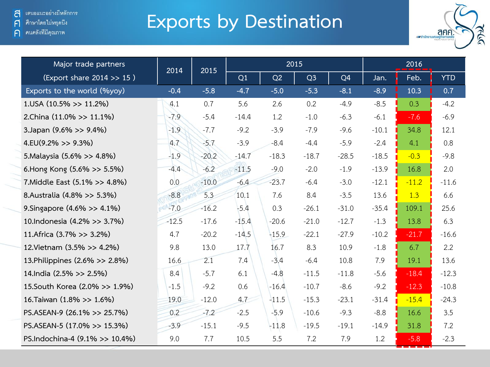ิคนคลังที่มีคุณภาพ

 $\bigcap$ 

## **Exports by Destination**



| Major trade partners           | 2014    | 2015    |         |         | 2015           |                | 2016    |         |            |  |
|--------------------------------|---------|---------|---------|---------|----------------|----------------|---------|---------|------------|--|
| (Export share 2014 >> 15)      |         |         | Q1      | Q2      | Q <sub>3</sub> | Q <sub>4</sub> | Jan.    | Feb.    | <b>YTD</b> |  |
| Exports to the world (%yoy)    | $-0.4$  | $-5.8$  | $-4.7$  | $-5.0$  | $-5.3$         | $-8.1$         | $-8.9$  | 10.3    | 0.7        |  |
| $1.05A(10.5\%>>11.2\%)$        | 4.1     | 0.7     | 5.6     | 2.6     | 0.2            | $-4.9$         | $-8.5$  | 0.3     | $-4.2$     |  |
| 2.China (11.0% >> 11.1%)       | $-7.9$  | $-5.4$  | $-14.4$ | 1.2     | $-1.0$         | $-6.3$         | $-6.1$  | $-7.6$  | $-6.9$     |  |
| 3.Japan (9.6% >> 9.4%)         | $-1.9$  | $-7.7$  | $-9.2$  | $-3.9$  | $-7.9$         | $-9.6$         | $-10.1$ | 34.8    | 12.1       |  |
| $4.EU(9.2\% >> 9.3\%)$         | 4.7     | $-5.7$  | $-3.9$  | $-8.4$  | $-4.4$         | $-5.9$         | $-2.4$  | 4.1     | 0.8        |  |
| 5. Malaysia (5.6% >> 4.8%)     | $-1.9$  | $-20.2$ | $-14.7$ | $-18.3$ | $-18.7$        | $-28.5$        | $-18.5$ | $-0.3$  | $-9.8$     |  |
| 6. Hong Kong (5.6% >> 5.5%)    | $-4.4$  | $-6.2$  | $-11.5$ | $-9.0$  | $-2.0$         | $-1.9$         | $-13.9$ | 16.8    | 2.0        |  |
| 7. Middle East (5.1% >> 4.8%)  | 0.0     | $-10.0$ | $-6.4$  | $-23.7$ | $-6.4$         | $-3.0$         | $-12.1$ | $-11.2$ | $-11.6$    |  |
| 8.Australia (4.8% >> 5.3%)     | $-8.8$  | 5.3     | 10.1    | 7.6     | 8.4            | $-3.5$         | 13.6    | 1.3     | 6.6        |  |
| 9. Singapore (4.6% >> 4.1%)    | $-7.0$  | $-16.2$ | $-5.4$  | 0.3     | $-26.1$        | $-31.0$        | $-35.4$ | 109.1   | 25.6       |  |
| 10.Indonesia (4.2% >> 3.7%)    | $-12.5$ | $-17.6$ | $-15.4$ | $-20.6$ | $-21.0$        | $-12.7$        | $-1.3$  | 13.8    | 6.3        |  |
| 11. Africa (3.7% >> 3.2%)      | 4.7     | $-20.2$ | $-14.5$ | $-15.9$ | $-22.1$        | $-27.9$        | $-10.2$ | $-21.7$ | $-16.6$    |  |
| 12. Vietnam (3.5% >> 4.2%)     | 9.8     | 13.0    | 17.7    | 16.7    | 8.3            | 10.9           | $-1.8$  | 6.7     | 2.2        |  |
| 13. Philippines (2.6% >> 2.8%) | 16.6    | 2.1     | 7.4     | $-3.4$  | $-6.4$         | 10.8           | 7.9     | 19.1    | 13.6       |  |
| 14.India (2.5% >> 2.5%)        | 8.4     | $-5.7$  | 6.1     | $-4.8$  | $-11.5$        | $-11.8$        | $-5.6$  | $-18.4$ | $-12.3$    |  |
| 15. South Korea (2.0% >> 1.9%) | $-1.5$  | $-9.2$  | 0.6     | $-16.4$ | $-10.7$        | $-8.6$         | $-9.2$  | $-12.3$ | $-10.8$    |  |
| 16. Taiwan (1.8% >> 1.6%)      | 19.0    | $-12.0$ | 4.7     | $-11.5$ | $-15.3$        | $-23.1$        | $-31.4$ | $-15.4$ | $-24.3$    |  |
| PS.ASEAN-9 (26.1% >> 25.7%)    | 0.2     | $-7.2$  | $-2.5$  | $-5.9$  | $-10.6$        | $-9.3$         | $-8.8$  | 16.6    | 3.5        |  |
| PS.ASEAN-5 (17.0% >> 15.3%)    | $-3.9$  | $-15.1$ | $-9.5$  | $-11.8$ | $-19.5$        | $-19.1$        | $-14.9$ | 31.8    | 7.2        |  |
| PS.Indochina-4 (9.1% >> 10.4%) | 9.0     | 7.7     | 10.5    | 5.5     | 7.2            | 7.9            | 1.2     | $-5.8$  | $-2.3$     |  |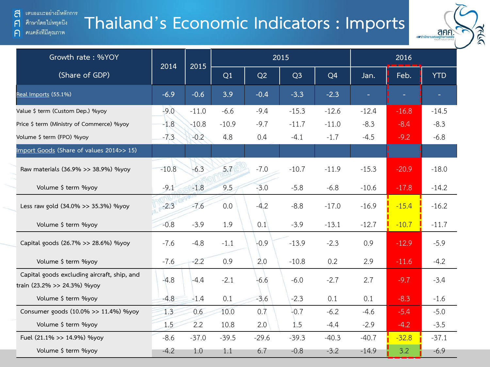# **Thailand's Economic Indicators : Imports**



| Growth rate: %YOY                                                          | 2014    | 2015    |         |         | 2015           |                |         |         |            |
|----------------------------------------------------------------------------|---------|---------|---------|---------|----------------|----------------|---------|---------|------------|
| (Share of GDP)                                                             |         |         | Q1      | Q2      | Q <sub>3</sub> | Q <sub>4</sub> | Jan.    | Feb.    | <b>YTD</b> |
| Real Imports (55.1%)                                                       | $-6.9$  | $-0.6$  | 3.9     | $-0.4$  | $-3.3$         | $-2.3$         |         |         |            |
| Value \$ term (Custom Dep.) %yoy                                           | $-9.0$  | $-11.0$ | $-6.6$  | $-9.4$  | $-15.3$        | $-12.6$        | $-12.4$ | $-16.8$ | $-14.5$    |
| Price \$ term (Ministry of Commerce) %yoy                                  | $-1.8$  | $-10.8$ | $-10.9$ | $-9.7$  | $-11.7$        | $-11.0$        | $-8.3$  | $-8.4$  | $-8.3$     |
| Volume \$ term (FPO) %yoy                                                  | $-7.3$  | $-0.2$  | 4.8     | 0.4     | $-4.1$         | $-1.7$         | $-4.5$  | $-9.2$  | $-6.8$     |
| Import Goods (Share of values 2014>> 15)                                   |         |         |         |         |                |                |         |         |            |
| Raw materials (36.9% >> 38.9%) %yoy                                        | $-10.8$ | $-6.3$  | 5.7     | $-7.0$  | $-10.7$        | $-11.9$        | $-15.3$ | $-20.9$ | $-18.0$    |
| Volume \$ term %yoy                                                        | $-9.1$  | $-1.8$  | 9.5     | $-3.0$  | $-5.8$         | $-6.8$         | $-10.6$ | $-17.8$ | $-14.2$    |
| Less raw gold (34.0% >> 35.3%) %yoy                                        | $-2.3$  | $-7.6$  | 0.0     | $-4.2$  | $-8.8$         | $-17.0$        | $-16.9$ | $-15.4$ | $-16.2$    |
| Volume \$ term %yoy                                                        | $-0.8$  | $-3.9$  | 1.9     | 0.1     | $-3.9$         | $-13.1$        | $-12.7$ | $-10.7$ | $-11.7$    |
| Capital goods (26.7% >> 28.6%) %yoy                                        | $-7.6$  | $-4.8$  | $-1.1$  | $-0.9$  | $-13.9$        | $-2.3$         | 0.9     | $-12.9$ | $-5.9$     |
| Volume \$ term %yoy                                                        | $-7.6$  | $-2.2$  | 0.9     | 2.0     | $-10.8$        | 0.2            | 2.9     | $-11.6$ | $-4.2$     |
| Capital goods excluding aircraft, ship, and<br>train (23.2% >> 24.3%) %yoy | $-4.8$  | $-4.4$  | $-2.1$  | $-6.6$  | $-6.0$         | $-2.7$         | 2.7     | $-9.7$  | $-3.4$     |
| Volume \$ term %yoy                                                        | $-4.8$  | $-1.4$  | 0.1     | $-3.6$  | $-2.3$         | 0.1            | 0.1     | $-8.3$  | $-1.6$     |
| Consumer goods (10.0% >> 11.4%) %yoy                                       | 1.3     | 0.6     | 10.0    | 0.7     | $-0.7$         | $-6.2$         | $-4.6$  | $-5.4$  | $-5.0$     |
| Volume \$ term %yoy                                                        | 1.5     | 2.2     | 10.8    | 2.0     | 1.5            | $-4.4$         | $-2.9$  | $-4.2$  | $-3.5$     |
| Fuel (21.1% >> 14.9%) %yoy                                                 | $-8.6$  | $-37.0$ | $-39.5$ | $-29.6$ | $-39.3$        | $-40.3$        | $-40.7$ | $-32.8$ | $-37.1$    |
| Volume \$ term %yoy                                                        | $-4.2$  | 1.0     | 1.1     | 6.7     | $-0.8$         | $-3.2$         | $-14.9$ | 3.2     | $-6.9$     |

 $\bigcap$ 

คนคลังที่มีคุณภาพ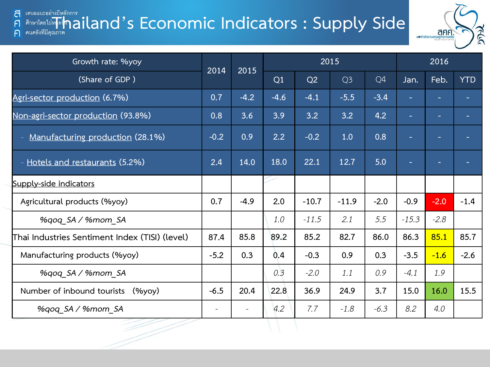#### **Thailand's Economic Indicators : Supply Side** a A



| Growth rate: %yoy                              |        | 2015<br>2014      |        |         | 2015           |        | 2016    |        |            |  |
|------------------------------------------------|--------|-------------------|--------|---------|----------------|--------|---------|--------|------------|--|
| (Share of GDP)                                 |        |                   | Q1     | Q2      | Q <sub>3</sub> | Q4     | Jan.    | Feb.   | <b>YTD</b> |  |
| Agri-sector production (6.7%)                  | 0.7    | $-4.2$            | $-4.6$ | $-4.1$  | $-5.5$         | $-3.4$ | ٠       | ÷      | ٠          |  |
| Non-agri-sector production (93.8%)             | 0.8    | 3.6               | 3.9    | 3.2     | 3.2            | 4.2    | ۰       | ٠      |            |  |
| Manufacturing production (28.1%)               | $-0.2$ | 0.9               | 2.2    | $-0.2$  | 1.0            | 0.8    | ٠       |        |            |  |
| Hotels and restaurants (5.2%)                  | 2.4    | 14.0              | 18.0   | 22.1    | 12.7           | 5.0    | ٠       | ۰.     |            |  |
| Supply-side indicators                         |        |                   |        |         |                |        |         |        |            |  |
| Agricultural products (%yoy)                   | 0.7    | $-4.9$            | 2.0    | $-10.7$ | $-11.9$        | $-2.0$ | $-0.9$  | $-2.0$ | $-1.4$     |  |
| %gog SA / %mom SA                              |        |                   | 1.0    | $-11.5$ | 2.1            | 5.5    | $-15.3$ | $-2.8$ |            |  |
| Thai Industries Sentiment Index (TISI) (level) | 87.4   | 85.8              | 89.2   | 85.2    | 82.7           | 86.0   | 86.3    | 85.1   | 85.7       |  |
| Manufacturing products (%yoy)                  | $-5.2$ | 0.3               | 0.4    | $-0.3$  | 0.9            | 0.3    | $-3.5$  | $-1.6$ | $-2.6$     |  |
| %qoq_SA / %mom_SA                              |        |                   | 0.3    | $-2.0$  | 1.1            | 0.9    | $-4.1$  | 1.9    |            |  |
| Number of inbound tourists<br>$(\%$ yoy $)$    | $-6.5$ | 20.4              | 22.8   | 36.9    | 24.9           | 3.7    | 15.0    | 16.0   | 15.5       |  |
| %gog SA / %mom SA                              |        | $\qquad \qquad -$ | 4.2    | 7.7     | $-1.8$         | $-6.3$ | 8.2     | 4.0    |            |  |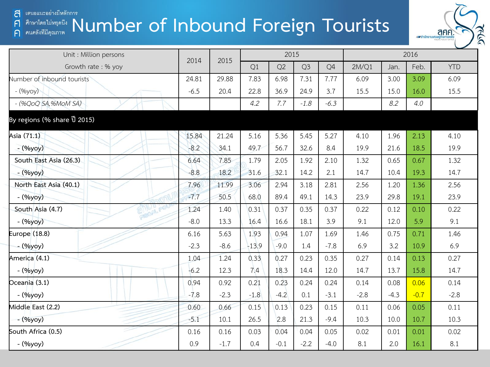#### Anumika Binging indis and the particle in the particle in the particle in the particle in the particle in the particle in the particle in the particle in the particle in the particle in the particle in the particle in the a  $\mathsf{F}$  $\bigcap$



| Unit : Million persons                             | 2014   | 2015   | 2015    |        |                | 2016   |        |        |        |            |
|----------------------------------------------------|--------|--------|---------|--------|----------------|--------|--------|--------|--------|------------|
| Growth rate: % yoy                                 |        |        | Q1      | Q2     | Q <sub>3</sub> | Q4     | 2M/Q1  | Jan.   | Feb.   | <b>YTD</b> |
| Number of inbound tourists                         | 24.81  | 29.88  | 7.83    | 6.98   | 7.31           | 7.77   | 6.09   | 3.00   | 3.09   | 6.09       |
| - (%yoy)                                           | $-6.5$ | 20.4   | 22.8    | 36.9   | 24.9           | 3.7    | 15.5   | 15.0   | 16.0   | 15.5       |
| $-(\frac{96}{90}$ QOQ SA, $\frac{96}{100}$ MOM SA) |        |        | 4.2     | 7.7    | $-1.8$         | $-6.3$ |        | 8.2    | 4.0    |            |
| By regions (% share ปี 2015)                       |        |        |         |        |                |        |        |        |        |            |
| Asia (71.1)                                        | 15.84  | 21.24  | 5.16    | 5.36   | 5.45           | 5.27   | 4.10   | 1.96   | 2.13   | 4.10       |
| - (%yoy)                                           | $-8.2$ | 34.1   | 49.7    | 56.7   | 32.6           | 8.4    | 19.9   | 21.6   | 18.5   | 19.9       |
| South East Asia (26.3)                             | 6.64   | 7.85   | 1.79    | 2.05   | 1.92           | 2.10   | 1.32   | 0.65   | 0.67   | 1.32       |
| - (%yoy)                                           | $-8.8$ | 18.2   | 31.6    | 32.1   | 14.2           | 2.1    | 14.7   | 10.4   | 19.3   | 14.7       |
| North East Asia (40.1)                             | 7.96   | 11.99  | 3.06    | 2.94   | 3.18           | 2.81   | 2.56   | 1.20   | 1.36   | 2.56       |
| $-(\frac{9}{9}yoy)$                                | $-7.7$ | 50.5   | 68.0    | 89.4   | 49.1           | 14.3   | 23.9   | 29.8   | 19.1   | 23.9       |
| CAS POL<br>South Asia (4.7)                        | 1.24   | 1.40   | 0.31    | 0.37   | 0.35           | 0.37   | 0.22   | 0.12   | 0.10   | 0.22       |
| $-(\frac{9}{9}yoy)$                                | $-8.0$ | 13.3   | 16.4    | 16.6   | 18.1           | 3.9    | 9.1    | 12.0   | 5.9    | 9.1        |
| Europe (18.8)                                      | 6.16   | 5.63   | 1.93    | 0.94   | 1.07           | 1.69   | 1.46   | 0.75   | 0.71   | 1.46       |
| - (%yoy)                                           | $-2.3$ | $-8.6$ | $-13.9$ | $-9.0$ | 1.4            | $-7.8$ | 6.9    | 3.2    | 10.9   | 6.9        |
| America (4.1)                                      | 1.04   | 1.24   | 0.33    | 0.27   | 0.23           | 0.35   | 0.27   | 0.14   | 0.13   | 0.27       |
| - (%yoy)                                           | $-6.2$ | 12.3   | 7.4     | 18.3   | 14.4           | 12.0   | 14.7   | 13.7   | 15.8   | 14.7       |
| Oceania (3.1)                                      | 0.94   | 0.92   | 0.21    | 0.23   | 0.24           | 0.24   | 0.14   | 0.08   | 0.06   | 0.14       |
| - (%yoy)                                           | $-7.8$ | $-2.3$ | $-1.8$  | $-4.2$ | 0.1            | $-3.1$ | $-2.8$ | $-4.3$ | $-0.7$ | $-2.8$     |
| Middle East (2.2)                                  | 0.60   | 0.66   | 0.15    | 0.13   | 0.23           | 0.15   | 0.11   | 0.06   | 0.05   | 0.11       |
| $-(\frac{9}{9}yoy)$                                | $-5.1$ | 10.1   | 26.5    | 2.8    | 21.3           | $-9.4$ | 10.3   | 10.0   | 10.7   | 10.3       |
| South Africa (0.5)                                 | 0.16   | 0.16   | 0.03    | 0.04   | 0.04           | 0.05   | 0.02   | 0.01   | 0.01   | 0.02       |
| - (%yoy)                                           | 0.9    | $-1.7$ | 0.4     | $-0.1$ | $-2.2$         | $-4.0$ | 8.1    | 2.0    | 16.1   | 8.1        |